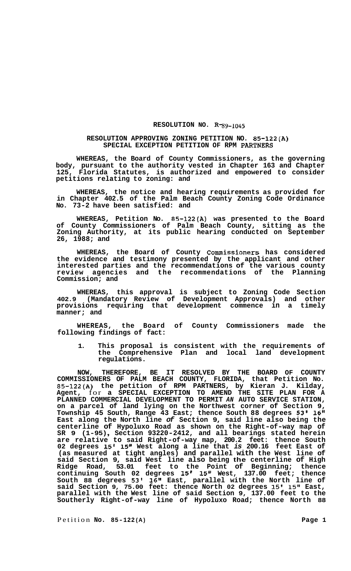## **RESOLUTION NO. R-89-1045**

## **RESOLUTION APPROVING ZONING PETITION NO. 85-122(A) SPECIAL EXCEPTION PETITION OF RPM PARTNERS**

**WHEREAS, the Board of County Commissioners, as the governing body, pursuant to the authority vested in Chapter 163 and Chapter 125, Florida Statutes, is authorized and empowered to consider petitions relating to zoning: and** 

**WHEREAS, the notice and hearing requirements as provided for in Chapter 402.5 of the Palm Beach County Zoning Code Ordinance No. 73-2 have been satisfied: and** 

**WHEREAS, Petition No. 85-122(A) was presented to the Board of County Commissioners of Palm Beach County, sitting as the Zoning Authority, at its public hearing conducted on September 26, 1988; and** 

**WHEREAS, the Board of County Commissioners has considered the evidence and testimony presented by the applicant and other interested parties and the recommendations of the various county review agencies and the recommendations of the Planning Commission; and** 

**WHEREAS, this approval is subject to Zoning Code Section 402.9 (Mandatory Review of Development Approvals) and other provisions requiring that development commence in a timely manner; and** 

**WHEREAS, the Board of County Commissioners made the following findings of fact:** 

**1. This proposal is consistent with the requirements of the Comprehensive Plan and local land development regulations.** 

**NOW, THEREFORE, BE IT RESOLVED BY THE BOARD OF COUNTY COMMISSIONERS OF PALM BEACH COUNTY, FLORIDA, that Petition No. 85-122(A) the petition of RPM PARTNERS, by Kieran J. Kilday, Agent,** for **a SPECIAL EXCEPTION TO AMEND THE SITE PLAN FOR A PLANNED COMMERCIAL DEVELOPMENT TO PERMIT** *AN* **AUTO SERVICE STATION, on a parcel of land lying on the Northwest corner of Section 9, Township 45 South, Range 43 East; thence South 88 degrees 53' 16" East along the North line** *of* **Section 9, said line also being the centerline of Hypoluxo Road as shown on the Right-of-way map of SR 9 (1-95)** , **Section 93220-2412, and all bearings stated herein are relative to said Right-of-way map, 200.2 feet: thence South 02 degrees 15' 15" West along a line that** *is* **200.16 feet East of (as measured at tight angles) and parallel with the West line of said Section 9, said West line also being the centerline of High Ridge Road, 53.01 feet to the Point of Beginning; thence continuing South 02 degrees 15' 15" West, 137.00 feet; thence South 88 degrees 53' 16" East, parallel with the North line of said Section 9, 75.00 feet: thence North 02 degrees 15' 15" East, parallel with the West line of said Section 9, 137.00 feet to the Southerly Right-of-way line of Hypoluxo Road; thence North 88**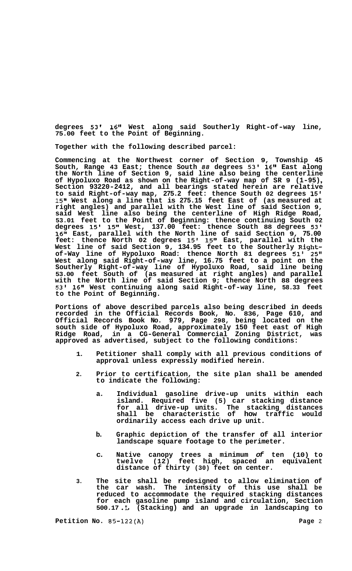**degrees 53' 16'' West along said Southerly Right-of-way line, 75.00 feet to the Point of Beginning.** 

**Together with the following described parcel:** 

**Commencing at the Northwest corner of Section 9, Township 45 South, Range 43 East; thence South** *88* **degrees 53' 16" East along the North line of Section 9, said line also being the centerline of Hypoluxo Road as shown on the Right-of-way map of SR 9 (1-95)** , **Section 93220-2412, and all bearings stated herein are relative to said Right-of-way map, 275.2 feet: thence South 02 degrees 15' 15" West along a line that is 275.15 feet East of (as measured at right angles) and parallel with the West line of said Section 9, said West line also being the centerline of High Ridge Road, 53.01 feet to the Point of Beginning: thence continuing South 02 degrees 15' 15" West, 137.00 feet: thence South 88 degrees 53' 16'' East, parallel with the North line of said Section 9, 75.00 feet: thence North 02 degrees 15' 15" East, parallel with the West line of said Section 9, 134.95 feet to the Southerly Rightof-Way line of Hypoluxo Road: thence North 81 degrees 51' 25'' West along said Right-of-way line, 16.75 feet to a point on the Southerly Right-of-way line of Hypoluxo Road, said line being 53.00 feet South of (as measured at right angles) and parallel with the North line of said Section 9; thence North 88 degrees 53' 16" West continuing along said Right-of-way line, 58.33 feet to the Point of Beginning.** 

**Portions of above described parcels also being described in deeds recorded in the Official Records Book, No. 836, Page 610, and Official Records Book No. 979, Page 298, being located on the south side of Hypoluxo Road, approximately 150 feet east of High Ridge Road, in a CG-General Commercial Zoning District, was approved as advertised, subject to the following conditions:** 

- **1. Petitioner shall comply with all previous conditions of approval unless expressly modified herein.**
- **2. Prior to certification, the site plan shall be amended to indicate the following:** 
	- **a. Individual gasoline drive-up units within each island. Required five (5) car stacking distance for all drive-up units. The stacking distances shall be characteristic of how traffic would ordinarily access each drive up unit.**
	- **b. Graphic depiction of the transfer of all interior landscape square footage to the perimeter.**
	- **c. Native canopy trees a minimum** *of* **ten (10) to twelve (12) feet high, spaced an equivalent distance of thirty (30) feet on center.**
- **3. The site shall be redesigned to allow elimination of the car wash. The intensity of this use shall be reduced to accommodate the required stacking distances for each gasoline pump island and circulation, Section 500.17 .L (Stacking) and an upgrade in landscaping to**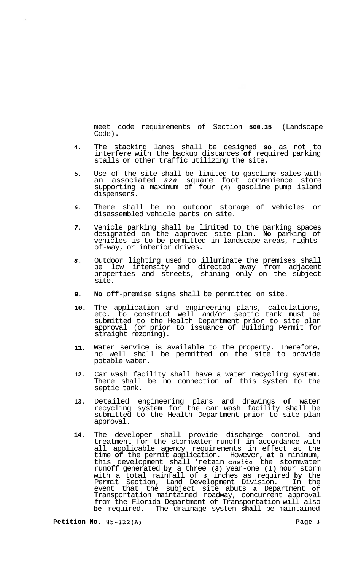meet code requirements of Section **500.35** (Landscape Code) .

- **4.**  The stacking lanes shall be designed **so** as not to interfere with the backup distances **of** required parking stalls or other traffic utilizing the site.
- **5.**  Use of the site shall be limited to gasoline sales with an associated *820* square foot convenience store supporting a maximum of four **(4)** gasoline pump island dispensers.
- *6.*  There shall be no outdoor storage of vehicles or disassembled vehicle parts on site.
- *7.*  Vehicle parking shall be limited to the parking spaces designated on the approved site plan. **No** parking of vehicles is to be permitted in landscape areas, rightsof-way, or interior drives.
- *8.*  Outdoor lighting used to illuminate the premises shall be low intensity and directed away from adjacent properties and streets, shining only on the subject site.
- **9. No** off-premise signs shall be permitted on site.
- **10.**  The application and engineering plans, calculations, etc. to construct well and/or septic tank must be submitted to the Health Department prior to site plan approval (or prior to issuance of Building Permit for straight rezoning).
- **11.**  Water service **is** available to the property. Therefore, no well shall be permitted on the site to provide potable water.
- **12.**  Car wash facility shall have a water recycling system. There shall be no connection **of** this system to the septic tank.
- **13.**  Detailed engineering plans and drawings **of** water recycling system for the car wash facility shall be submitted to the Health Department prior to site plan approval.
- **14.**  The developer shall provide discharge control and treatment for the stormwater runoff **in** accordance with all applicable agency requirements in effect at the time **of** the permit application. However, **at** a minimum, this development shall 'retain onsite the stormwater runoff generated **by** a three **(3)** year-one **(1)** hour storm with a total rainfall of **3** inches as required **by** the Permit Section, Land Development Division. In the event that the subject site abuts **a** Department **of**  Transportation maintained roadway, concurrent approval from the Florida Department of Transportation will also **be** required. The drainage system **shall** be maintained

 $\ddot{\phantom{0}}$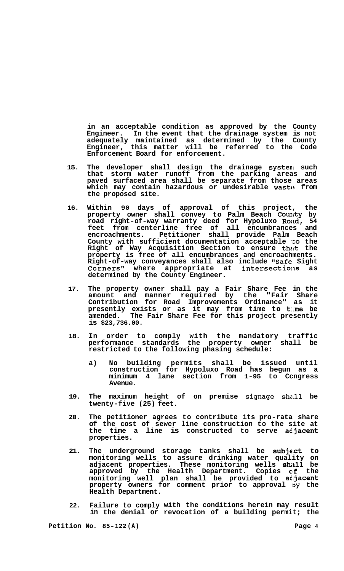**in an acceptable condition as approved by the County Engineer. In the event that the drainage system is not adequately maintained as determined by the County Engineer, this matter will be referred to the Code Enforcement Board for enforcement.** 

- **15. The developer shall design the drainage systenl such that storm water runoff from the parking areas and paved surfaced area shall be separate from those areas**  which may contain hazardous or undesirable waste from **the proposed site.**
- **16. Within 90 days of approval of this project, the property owner shall convey to Palm Beach County by road right-of-way warranty deed for Hypoluxo ROiid, 54 feet from centerline free of all encumbrances and encroachments. Petitioner shall provide Palm Beach County with sufficient documentation acceptable** 'co **the Right of Way Acquisition Section to ensure that the property is free of all encumbrances and encroachments. Right-of-way conveyances shall also include "Safe Sight**  Corners" where appropriate at intersections as **determined by the County Engineer.**
- **17. The property owner shall pay a Fair Share Fee in the amount and manner required by the "Fair Share Contribution for Road Improvements Ordinance" as it presently exists or as it may from time to time be amended. The Fair Share Fee for this project presently is \$23,736.00.**
- **18. In order to comply with the mandatory traffic performance standards the property owner shall be restricted to the following phasing schedule:** 
	- **a) No building permits shall be issued until construction for Hypoluxo Road has begun as a minimum 4 lane section from 1-95 to Ccngress Avenue.**
- 19. The maximum height of on premise signage shall be **twenty-five (25) feet.**
- **20. The petitioner agrees to contribute its pro-rata share of the cost of sewer line construction to the site at the time a line is constructed to serve at-jacent properties.**
- **21. The underground storage tanks shall be subject to monitoring wells to assure drinking water quality on adjacent properties. These monitoring wells shall be approved by the Health Department. Copies clf the monitoring well plan shall be provided to adjacent**  property owners for comment prior to approval by the **Health Department.**
- **22. Failure to comply with the conditions herein may result in the denial or revocation of a building permit; the**